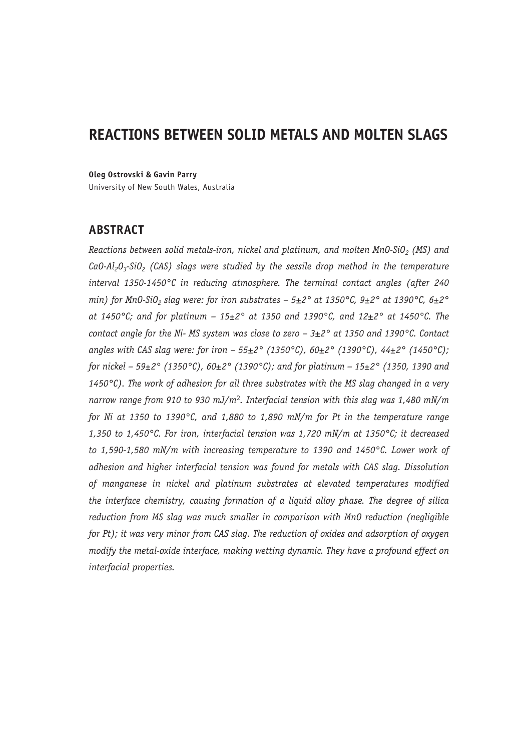# **REACTIONS BETWEEN SOLID METALS AND MOLTEN SLAGS**

**Oleg Ostrovski & Gavin Parry**

University of New South Wales, Australia

## **ABSTRACT**

*Reactions between solid metals-iron, nickel and platinum, and molten MnO-SiO<sub>2</sub> (MS) and* CaO-Al<sub>2</sub>O<sub>3</sub>-SiO<sub>2</sub> (CAS) slags were studied by the sessile drop method in the temperature *interval 1350-1450°C in reducing atmosphere. The terminal contact angles (after 240 min)* for Mn0-SiO<sub>2</sub> slag were: for iron substrates – 5 $\pm$ 2° at 1350°C, 9 $\pm$ 2° at 1390°C, 6 $\pm$ 2° *at 1450°C; and for platinum – 15±2° at 1350 and 1390°C, and 12±2° at 1450°C. The contact angle for the Ni- MS system was close to zero – 3±2° at 1350 and 1390°C. Contact angles with CAS slag were: for iron – 55±2° (1350°C), 60±2° (1390°C), 44±2° (1450°C); for nickel – 59±2° (1350°C), 60±2° (1390°C); and for platinum – 15±2° (1350, 1390 and 1450°C). The work of adhesion for all three substrates with the MS slag changed in a very narrow range from 910 to 930 mJ/m*<sup>2</sup>*. Interfacial tension with this slag was 1,480 mN/m for Ni at 1350 to 1390°C, and 1,880 to 1,890 mN/m for Pt in the temperature range 1,350 to 1,450°C. For iron, interfacial tension was 1,720 mN/m at 1350°C; it decreased to 1,590-1,580 mN/m with increasing temperature to 1390 and 1450°C. Lower work of adhesion and higher interfacial tension was found for metals with CAS slag. Dissolution of manganese in nickel and platinum substrates at elevated temperatures modified the interface chemistry, causing formation of a liquid alloy phase. The degree of silica reduction from MS slag was much smaller in comparison with MnO reduction (negligible for Pt); it was very minor from CAS slag. The reduction of oxides and adsorption of oxygen modify the metal-oxide interface, making wetting dynamic. They have a profound effect on interfacial properties.*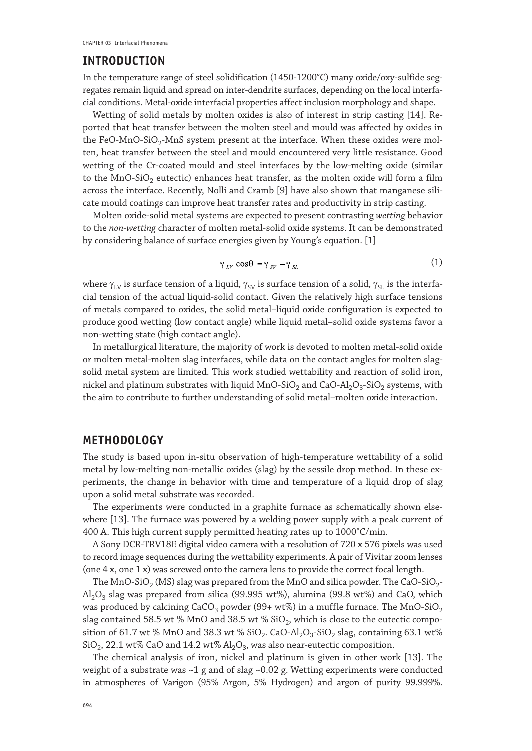#### **INTRODUCTION**

In the temperature range of steel solidification (1450-1200°C) many oxide/oxy-sulfide segregates remain liquid and spread on inter-dendrite surfaces, depending on the local interfacial conditions. Metal-oxide interfacial properties affect inclusion morphology and shape.

Wetting of solid metals by molten oxides is also of interest in strip casting [14]. Reported that heat transfer between the molten steel and mould was affected by oxides in the FeO-MnO-SiO<sub>2</sub>-MnS system present at the interface. When these oxides were molten, heat transfer between the steel and mould encountered very little resistance. Good wetting of the Cr-coated mould and steel interfaces by the low-melting oxide (similar to the MnO-SiO<sub>2</sub> eutectic) enhances heat transfer, as the molten oxide will form a film across the interface. Recently, Nolli and Cramb [9] have also shown that manganese silicate mould coatings can improve heat transfer rates and productivity in strip casting.

Molten oxide-solid metal systems are expected to present contrasting *wetting* behavior to the *non-wetting* character of molten metal-solid oxide systems. It can be demonstrated by considering balance of surface energies given by Young's equation. [1]

$$
\gamma_{LV}\cos\theta = \gamma_{SV} - \gamma_{SL} \tag{1}
$$

where  $\gamma_{LV}$  is surface tension of a liquid,  $\gamma_{SV}$  is surface tension of a solid,  $\gamma_{SL}$  is the interfacial tension of the actual liquid-solid contact. Given the relatively high surface tensions of metals compared to oxides, the solid metal–liquid oxide configuration is expected to produce good wetting (low contact angle) while liquid metal–solid oxide systems favor a non-wetting state (high contact angle).

In metallurgical literature, the majority of work is devoted to molten metal-solid oxide or molten metal-molten slag interfaces, while data on the contact angles for molten slagsolid metal system are limited. This work studied wettability and reaction of solid iron, nickel and platinum substrates with liquid MnO-SiO<sub>2</sub> and CaO-Al<sub>2</sub>O<sub>3</sub>-SiO<sub>2</sub> systems, with the aim to contribute to further understanding of solid metal–molten oxide interaction.

#### **METHODOLOGY**

The study is based upon in-situ observation of high-temperature wettability of a solid metal by low-melting non-metallic oxides (slag) by the sessile drop method. In these experiments, the change in behavior with time and temperature of a liquid drop of slag upon a solid metal substrate was recorded.

The experiments were conducted in a graphite furnace as schematically shown elsewhere [13]. The furnace was powered by a welding power supply with a peak current of 400 A. This high current supply permitted heating rates up to 1000°C/min.

A Sony DCR-TRV18E digital video camera with a resolution of 720 x 576 pixels was used to record image sequences during the wettability experiments. A pair of Vivitar zoom lenses (one 4 x, one 1 x) was screwed onto the camera lens to provide the correct focal length.

The MnO-SiO<sub>2</sub> (MS) slag was prepared from the MnO and silica powder. The CaO-SiO<sub>2</sub>- $Al_2O_3$  slag was prepared from silica (99.995 wt%), alumina (99.8 wt%) and CaO, which was produced by calcining CaCO<sub>3</sub> powder (99+ wt%) in a muffle furnace. The MnO-SiO<sub>2</sub> slag contained 58.5 wt % MnO and 38.5 wt %  $SiO<sub>2</sub>$ , which is close to the eutectic composition of 61.7 wt % MnO and 38.3 wt % SiO<sub>2</sub>. CaO-Al<sub>2</sub>O<sub>3</sub>-SiO<sub>2</sub> slag, containing 63.1 wt% SiO<sub>2</sub>, 22.1 wt% CaO and 14.2 wt%  $Al_2O_3$ , was also near-eutectic composition.

The chemical analysis of iron, nickel and platinum is given in other work [13]. The weight of a substrate was ~1 g and of slag ~0.02 g. Wetting experiments were conducted in atmospheres of Varigon (95% Argon, 5% Hydrogen) and argon of purity 99.999%.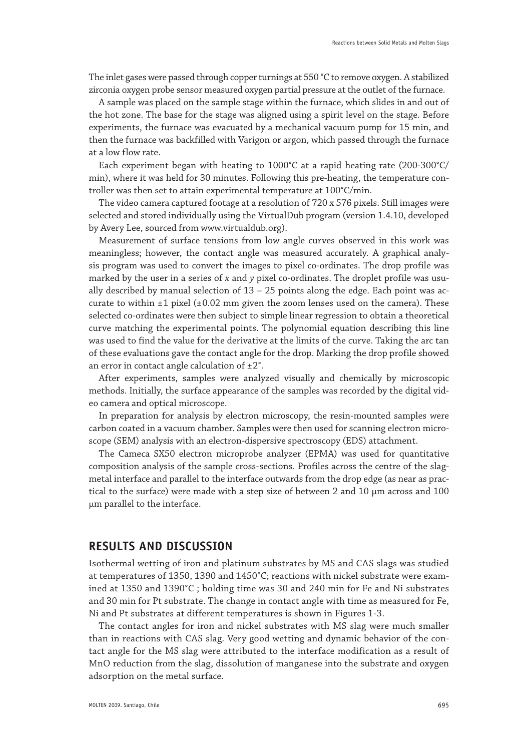The inlet gases were passed through copper turnings at 550 °C to remove oxygen. A stabilized zirconia oxygen probe sensor measured oxygen partial pressure at the outlet of the furnace.

A sample was placed on the sample stage within the furnace, which slides in and out of the hot zone. The base for the stage was aligned using a spirit level on the stage. Before experiments, the furnace was evacuated by a mechanical vacuum pump for 15 min, and then the furnace was backfilled with Varigon or argon, which passed through the furnace at a low flow rate.

Each experiment began with heating to 1000°C at a rapid heating rate (200-300°C/ min), where it was held for 30 minutes. Following this pre-heating, the temperature controller was then set to attain experimental temperature at 100°C/min.

The video camera captured footage at a resolution of 720 x 576 pixels. Still images were selected and stored individually using the VirtualDub program (version 1.4.10, developed by Avery Lee, sourced from www.virtualdub.org).

Measurement of surface tensions from low angle curves observed in this work was meaningless; however, the contact angle was measured accurately. A graphical analysis program was used to convert the images to pixel co-ordinates. The drop profile was marked by the user in a series of *x* and *y* pixel co-ordinates. The droplet profile was usually described by manual selection of 13 – 25 points along the edge. Each point was accurate to within  $\pm 1$  pixel ( $\pm 0.02$  mm given the zoom lenses used on the camera). These selected co-ordinates were then subject to simple linear regression to obtain a theoretical curve matching the experimental points. The polynomial equation describing this line was used to find the value for the derivative at the limits of the curve. Taking the arc tan of these evaluations gave the contact angle for the drop. Marking the drop profile showed an error in contact angle calculation of  $\pm 2^{\circ}$ .

After experiments, samples were analyzed visually and chemically by microscopic methods. Initially, the surface appearance of the samples was recorded by the digital video camera and optical microscope.

In preparation for analysis by electron microscopy, the resin-mounted samples were carbon coated in a vacuum chamber. Samples were then used for scanning electron microscope (SEM) analysis with an electron-dispersive spectroscopy (EDS) attachment.

The Cameca SX50 electron microprobe analyzer (EPMA) was used for quantitative composition analysis of the sample cross-sections. Profiles across the centre of the slagmetal interface and parallel to the interface outwards from the drop edge (as near as practical to the surface) were made with a step size of between 2 and 10 μm across and 100 μm parallel to the interface.

#### **RESULTS AND DISCUSSION**

Isothermal wetting of iron and platinum substrates by MS and CAS slags was studied at temperatures of 1350, 1390 and 1450°C; reactions with nickel substrate were examined at 1350 and 1390°C ; holding time was 30 and 240 min for Fe and Ni substrates and 30 min for Pt substrate. The change in contact angle with time as measured for Fe, Ni and Pt substrates at different temperatures is shown in Figures 1-3.

The contact angles for iron and nickel substrates with MS slag were much smaller than in reactions with CAS slag. Very good wetting and dynamic behavior of the contact angle for the MS slag were attributed to the interface modification as a result of MnO reduction from the slag, dissolution of manganese into the substrate and oxygen adsorption on the metal surface.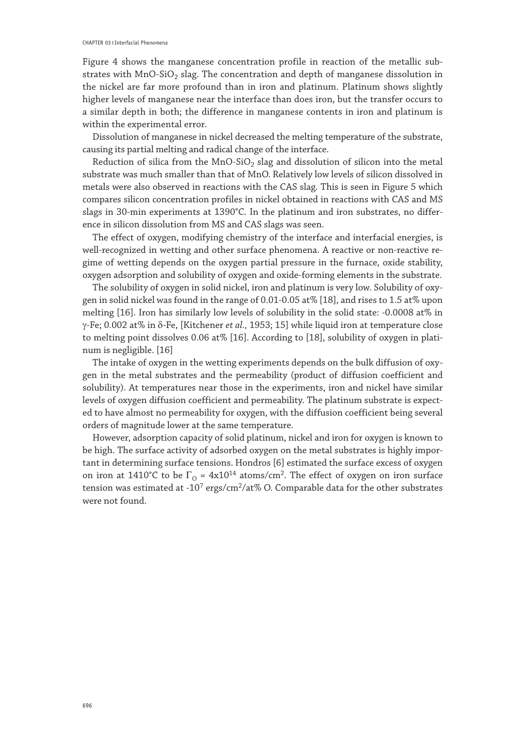Figure 4 shows the manganese concentration profile in reaction of the metallic substrates with MnO-SiO<sub>2</sub> slag. The concentration and depth of manganese dissolution in the nickel are far more profound than in iron and platinum. Platinum shows slightly higher levels of manganese near the interface than does iron, but the transfer occurs to a similar depth in both; the difference in manganese contents in iron and platinum is within the experimental error.

Dissolution of manganese in nickel decreased the melting temperature of the substrate, causing its partial melting and radical change of the interface.

Reduction of silica from the MnO-SiO<sub>2</sub> slag and dissolution of silicon into the metal substrate was much smaller than that of MnO. Relatively low levels of silicon dissolved in metals were also observed in reactions with the CAS slag. This is seen in Figure 5 which compares silicon concentration profiles in nickel obtained in reactions with CAS and MS slags in 30-min experiments at 1390°C. In the platinum and iron substrates, no difference in silicon dissolution from MS and CAS slags was seen.

The effect of oxygen, modifying chemistry of the interface and interfacial energies, is well-recognized in wetting and other surface phenomena. A reactive or non-reactive regime of wetting depends on the oxygen partial pressure in the furnace, oxide stability, oxygen adsorption and solubility of oxygen and oxide-forming elements in the substrate.

The solubility of oxygen in solid nickel, iron and platinum is very low. Solubility of oxygen in solid nickel was found in the range of 0.01-0.05 at% [18], and rises to 1.5 at% upon melting [16]. Iron has similarly low levels of solubility in the solid state: -0.0008 at% in γ-Fe; 0.002 at% in δ-Fe, [Kitchener *et al.,* 1953; 15] while liquid iron at temperature close to melting point dissolves 0.06 at% [16]. According to [18], solubility of oxygen in platinum is negligible. [16]

The intake of oxygen in the wetting experiments depends on the bulk diffusion of oxygen in the metal substrates and the permeability (product of diffusion coefficient and solubility). At temperatures near those in the experiments, iron and nickel have similar levels of oxygen diffusion coefficient and permeability. The platinum substrate is expected to have almost no permeability for oxygen, with the diffusion coefficient being several orders of magnitude lower at the same temperature.

However, adsorption capacity of solid platinum, nickel and iron for oxygen is known to be high. The surface activity of adsorbed oxygen on the metal substrates is highly important in determining surface tensions. Hondros [6] estimated the surface excess of oxygen on iron at 1410°C to be  $\Gamma_0 = 4x10^{14}$  atoms/cm<sup>2</sup>. The effect of oxygen on iron surface tension was estimated at -10<sup>7</sup> ergs/cm<sup>2</sup>/at% O. Comparable data for the other substrates were not found.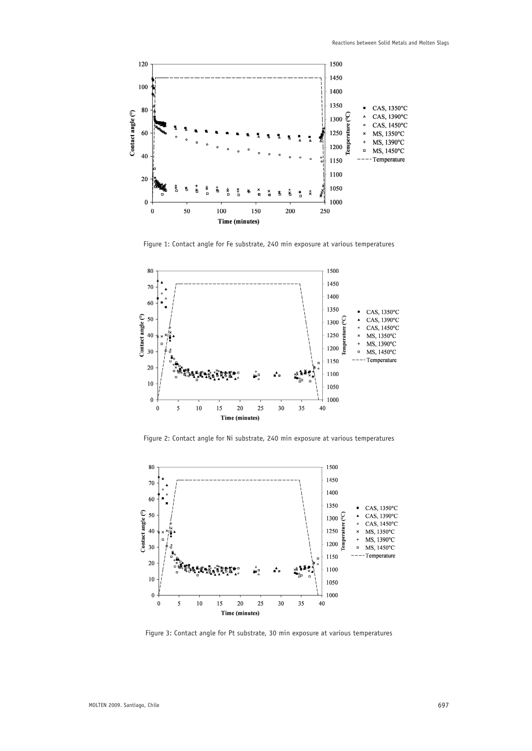

Figure 1: Contact angle for Fe substrate, 240 min exposure at various temperatures



Figure 2: Contact angle for Ni substrate, 240 min exposure at various temperatures



Figure 3: Contact angle for Pt substrate, 30 min exposure at various temperatures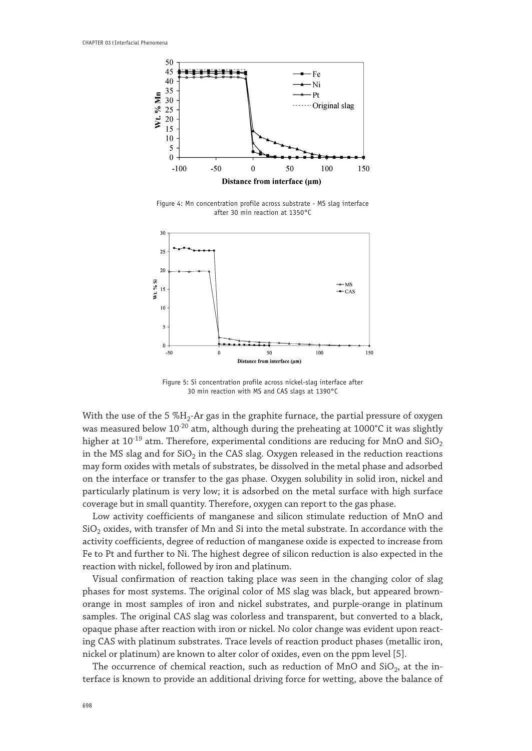

Figure 4: Mn concentration profile across substrate - MS slag interface after 30 min reaction at 1350°C



Figure 5: Si concentration profile across nickel-slag interface after 30 min reaction with MS and CAS slags at 1390°C

With the use of the 5  $\%$ H<sub>2</sub>-Ar gas in the graphite furnace, the partial pressure of oxygen was measured below  $10^{-20}$  atm, although during the preheating at 1000°C it was slightly higher at  $10^{-19}$  atm. Therefore, experimental conditions are reducing for MnO and SiO<sub>2</sub> in the MS slag and for  $SiO<sub>2</sub>$  in the CAS slag. Oxygen released in the reduction reactions may form oxides with metals of substrates, be dissolved in the metal phase and adsorbed on the interface or transfer to the gas phase. Oxygen solubility in solid iron, nickel and particularly platinum is very low; it is adsorbed on the metal surface with high surface coverage but in small quantity. Therefore, oxygen can report to the gas phase.

Low activity coefficients of manganese and silicon stimulate reduction of MnO and  $SiO<sub>2</sub>$  oxides, with transfer of Mn and Si into the metal substrate. In accordance with the activity coefficients, degree of reduction of manganese oxide is expected to increase from Fe to Pt and further to Ni. The highest degree of silicon reduction is also expected in the reaction with nickel, followed by iron and platinum.

Visual confirmation of reaction taking place was seen in the changing color of slag phases for most systems. The original color of MS slag was black, but appeared brownorange in most samples of iron and nickel substrates, and purple-orange in platinum samples. The original CAS slag was colorless and transparent, but converted to a black, opaque phase after reaction with iron or nickel. No color change was evident upon reacting CAS with platinum substrates. Trace levels of reaction product phases (metallic iron, nickel or platinum) are known to alter color of oxides, even on the ppm level [5].

The occurrence of chemical reaction, such as reduction of  $MnO$  and  $SiO<sub>2</sub>$ , at the interface is known to provide an additional driving force for wetting, above the balance of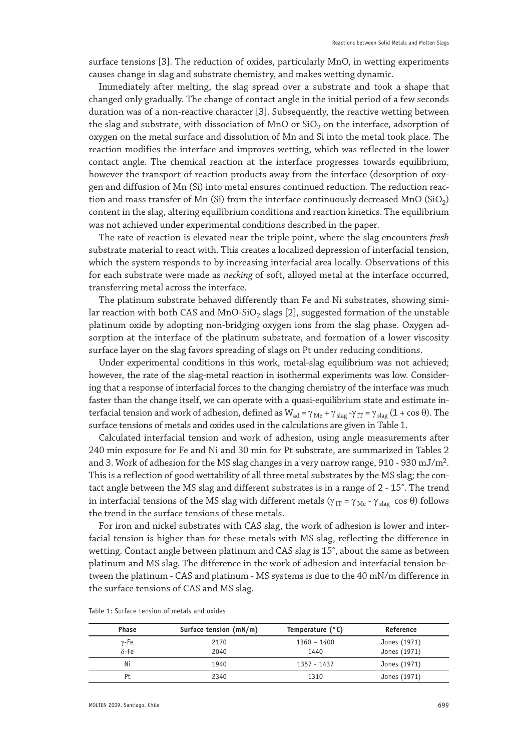surface tensions [3]. The reduction of oxides, particularly MnO, in wetting experiments causes change in slag and substrate chemistry, and makes wetting dynamic.

Immediately after melting, the slag spread over a substrate and took a shape that changed only gradually. The change of contact angle in the initial period of a few seconds duration was of a non-reactive character [3]. Subsequently, the reactive wetting between the slag and substrate, with dissociation of MnO or  $SiO<sub>2</sub>$  on the interface, adsorption of oxygen on the metal surface and dissolution of Mn and Si into the metal took place. The reaction modifies the interface and improves wetting, which was reflected in the lower contact angle. The chemical reaction at the interface progresses towards equilibrium, however the transport of reaction products away from the interface (desorption of oxygen and diffusion of Mn (Si) into metal ensures continued reduction. The reduction reaction and mass transfer of Mn (Si) from the interface continuously decreased MnO (SiO<sub>2</sub>) content in the slag, altering equilibrium conditions and reaction kinetics. The equilibrium was not achieved under experimental conditions described in the paper.

The rate of reaction is elevated near the triple point, where the slag encounters *fresh* substrate material to react with. This creates a localized depression of interfacial tension, which the system responds to by increasing interfacial area locally. Observations of this for each substrate were made as *necking* of soft, alloyed metal at the interface occurred, transferring metal across the interface.

The platinum substrate behaved differently than Fe and Ni substrates, showing similar reaction with both CAS and MnO-SiO<sub>2</sub> slags [2], suggested formation of the unstable platinum oxide by adopting non-bridging oxygen ions from the slag phase. Oxygen adsorption at the interface of the platinum substrate, and formation of a lower viscosity surface layer on the slag favors spreading of slags on Pt under reducing conditions.

Under experimental conditions in this work, metal-slag equilibrium was not achieved; however, the rate of the slag-metal reaction in isothermal experiments was low. Considering that a response of interfacial forces to the changing chemistry of the interface was much faster than the change itself, we can operate with a quasi-equilibrium state and estimate interfacial tension and work of adhesion, defined as  $W_{ad} = \gamma_{Me} + \gamma_{slag} - \gamma_{IT} = \gamma_{slag} (1 + \cos \theta)$ . The surface tensions of metals and oxides used in the calculations are given in Table 1.

Calculated interfacial tension and work of adhesion, using angle measurements after 240 min exposure for Fe and Ni and 30 min for Pt substrate, are summarized in Tables 2 and 3. Work of adhesion for the MS slag changes in a very narrow range,  $910 - 930$  mJ/m<sup>2</sup>. This is a reflection of good wettability of all three metal substrates by the MS slag; the contact angle between the MS slag and different substrates is in a range of 2 - 15°. The trend in interfacial tensions of the MS slag with different metals ( $\gamma_{IT} = \gamma_{Me} - \gamma_{slap}$  cos θ) follows the trend in the surface tensions of these metals.

For iron and nickel substrates with CAS slag, the work of adhesion is lower and interfacial tension is higher than for these metals with MS slag, reflecting the difference in wetting. Contact angle between platinum and CAS slag is 15°, about the same as between platinum and MS slag. The difference in the work of adhesion and interfacial tension between the platinum - CAS and platinum - MS systems is due to the 40 mN/m difference in the surface tensions of CAS and MS slag.

|  | Table 1: Surface tension of metals and oxides |  |  |  |
|--|-----------------------------------------------|--|--|--|
|  |                                               |  |  |  |

Table 1: Surface tension of metals and oxides

| <b>Phase</b> | Surface tension (mN/m) | Temperature (°C) | Reference    |
|--------------|------------------------|------------------|--------------|
| $\gamma$ -Fe | 2170                   | $1360 - 1400$    | Jones (1971) |
| $\delta$ -Fe | 2040                   | 1440             | Jones (1971) |
| Ni           | 1940                   | 1357 - 1437      | Jones (1971) |
| Pt.          | 2340                   | 1310             | Jones (1971) |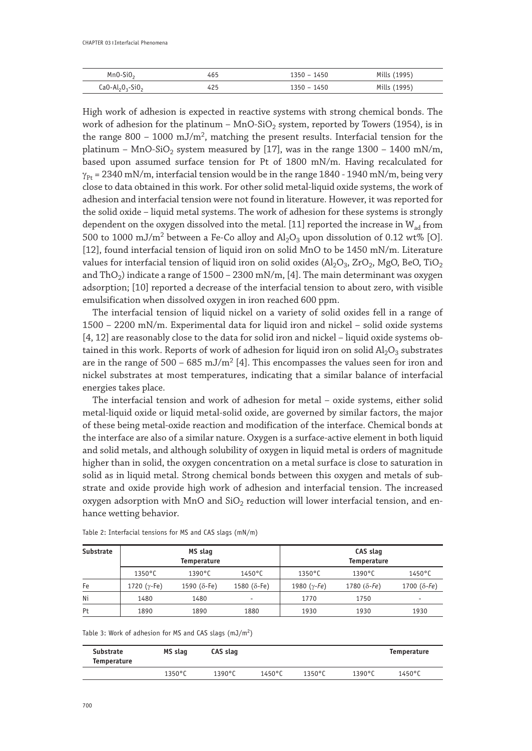|               | 4b.   | 1450<br>h( | . <i>.</i><br>1122 |
|---------------|-------|------------|--------------------|
| $\sim$ $\sim$ | 0 L J | 450        | <b>****</b><br>.   |

High work of adhesion is expected in reactive systems with strong chemical bonds. The work of adhesion for the platinum – MnO-SiO<sub>2</sub> system, reported by Towers (1954), is in the range  $800 - 1000 \text{ mJ/m}^2$ , matching the present results. Interfacial tension for the platinum – MnO-SiO<sub>2</sub> system measured by [17], was in the range  $1300$  –  $1400$  mN/m, based upon assumed surface tension for Pt of 1800 mN/m. Having recalculated for  $\gamma_{\rm Pr}$  = 2340 mN/m, interfacial tension would be in the range 1840 - 1940 mN/m, being very close to data obtained in this work. For other solid metal-liquid oxide systems, the work of adhesion and interfacial tension were not found in literature. However, it was reported for the solid oxide – liquid metal systems. The work of adhesion for these systems is strongly dependent on the oxygen dissolved into the metal. [11] reported the increase in  $W_{ad}$  from 500 to 1000 mJ/m<sup>2</sup> between a Fe-Co alloy and  $Al_2O_3$  upon dissolution of 0.12 wt% [O]. [12], found interfacial tension of liquid iron on solid MnO to be 1450 mN/m. Literature values for interfacial tension of liquid iron on solid oxides ( $Al_2O_3$ ,  $ZrO_2$ , MgO, BeO, TiO<sub>2</sub> and ThO<sub>2</sub>) indicate a range of  $1500 - 2300$  mN/m, [4]. The main determinant was oxygen adsorption; [10] reported a decrease of the interfacial tension to about zero, with visible emulsification when dissolved oxygen in iron reached 600 ppm.

The interfacial tension of liquid nickel on a variety of solid oxides fell in a range of 1500 – 2200 mN/m. Experimental data for liquid iron and nickel – solid oxide systems [4, 12] are reasonably close to the data for solid iron and nickel – liquid oxide systems obtained in this work. Reports of work of adhesion for liquid iron on solid  $Al_2O_3$  substrates are in the range of 500 – 685 mJ/m<sup>2</sup> [4]. This encompasses the values seen for iron and nickel substrates at most temperatures, indicating that a similar balance of interfacial energies takes place.

The interfacial tension and work of adhesion for metal – oxide systems, either solid metal-liquid oxide or liquid metal-solid oxide, are governed by similar factors, the major of these being metal-oxide reaction and modification of the interface. Chemical bonds at the interface are also of a similar nature. Oxygen is a surface-active element in both liquid and solid metals, and although solubility of oxygen in liquid metal is orders of magnitude higher than in solid, the oxygen concentration on a metal surface is close to saturation in solid as in liquid metal. Strong chemical bonds between this oxygen and metals of substrate and oxide provide high work of adhesion and interfacial tension. The increased oxygen adsorption with MnO and  $SiO<sub>2</sub>$  reduction will lower interfacial tension, and enhance wetting behavior.

| Substrate |                  | MS slag<br>Temperature |                  | CAS slag<br>Temperature |                  |                      |  |
|-----------|------------------|------------------------|------------------|-------------------------|------------------|----------------------|--|
|           | $1350^{\circ}$ C | $1390^{\circ}$ C       | $1450^{\circ}$ C | $1350^{\circ}$ C        | $1390^{\circ}$ C | $1450^{\circ}$ C     |  |
| Fe        | 1720 (γ-Fe)      | 1590 $(\delta$ -Fe)    | $1580 (8-Fe)$    | 1980 $(\gamma$ -Fe)     | 1780 $(δ-Fe)$    | 1700 ( $\delta$ -Fe) |  |
| Ni        | 1480             | 1480                   | ٠                | 1770                    | 1750             |                      |  |
| Pt.       | 1890             | 1890                   | 1880             | 1930                    | 1930             | 1930                 |  |

Table 2: Interfacial tensions for MS and CAS slags (mN/m)

Table 3: Work of adhesion for MS and CAS slags  $(mJ/m<sup>2</sup>)$ 

| Substrate<br>Temperature | MS slag          | CAS slag         |                  |                  |                  | Temperature      |
|--------------------------|------------------|------------------|------------------|------------------|------------------|------------------|
|                          | $1350^{\circ}$ C | $1390^{\circ}$ C | $1450^{\circ}$ C | $1350^{\circ}$ C | $1390^{\circ}$ C | $1450^{\circ}$ C |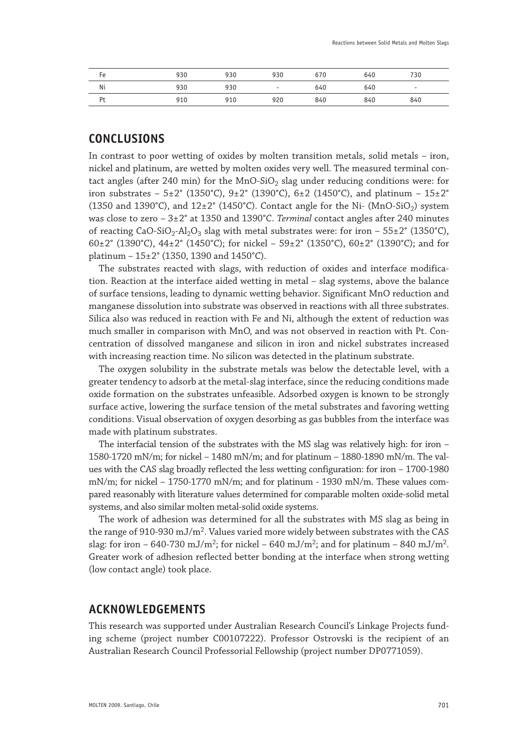| Fe             | 930 | 930 | 930    | 670 | 640 | 730                      |
|----------------|-----|-----|--------|-----|-----|--------------------------|
| Ni             | 930 | 930 | $\sim$ | 640 | 640 | $\overline{\phantom{a}}$ |
| P <sub>t</sub> | 910 | 910 | 920    | 840 | 840 | 840                      |

# **CONCLUSIONS**

In contrast to poor wetting of oxides by molten transition metals, solid metals – iron, nickel and platinum, are wetted by molten oxides very well. The measured terminal contact angles (after 240 min) for the MnO-SiO<sub>2</sub> slag under reducing conditions were: for iron substrates – 5±2° (1350°C), 9±2° (1390°C), 6±2 (1450°C), and platinum – 15±2° (1350 and 1390°C), and  $12\pm2^{\circ}$  (1450°C). Contact angle for the Ni- (MnO-SiO<sub>2</sub>) system was close to zero – 3±2° at 1350 and 1390°C. *Terminal* contact angles after 240 minutes of reacting CaO-SiO<sub>2</sub>-Al<sub>2</sub>O<sub>3</sub> slag with metal substrates were: for iron –  $55\pm2^{\circ}$  (1350<sup>°</sup>C), 60 $\pm$ 2° (1390°C), 44 $\pm$ 2° (1450°C); for nickel – 59 $\pm$ 2° (1350°C), 60 $\pm$ 2° (1390°C); and for platinum – 15±2° (1350, 1390 and 1450°C).

The substrates reacted with slags, with reduction of oxides and interface modification. Reaction at the interface aided wetting in metal – slag systems, above the balance of surface tensions, leading to dynamic wetting behavior. Significant MnO reduction and manganese dissolution into substrate was observed in reactions with all three substrates. Silica also was reduced in reaction with Fe and Ni, although the extent of reduction was much smaller in comparison with MnO, and was not observed in reaction with Pt. Concentration of dissolved manganese and silicon in iron and nickel substrates increased with increasing reaction time. No silicon was detected in the platinum substrate.

The oxygen solubility in the substrate metals was below the detectable level, with a greater tendency to adsorb at the metal-slag interface, since the reducing conditions made oxide formation on the substrates unfeasible. Adsorbed oxygen is known to be strongly surface active, lowering the surface tension of the metal substrates and favoring wetting conditions. Visual observation of oxygen desorbing as gas bubbles from the interface was made with platinum substrates.

The interfacial tension of the substrates with the MS slag was relatively high: for iron – 1580-1720 mN/m; for nickel – 1480 mN/m; and for platinum – 1880-1890 mN/m. The values with the CAS slag broadly reflected the less wetting configuration: for iron – 1700-1980  $mN/m$ ; for nickel – 1750-1770 mN/m; and for platinum - 1930 mN/m. These values compared reasonably with literature values determined for comparable molten oxide-solid metal systems, and also similar molten metal-solid oxide systems.

The work of adhesion was determined for all the substrates with MS slag as being in the range of 910-930 mJ/m<sup>2</sup>. Values varied more widely between substrates with the CAS slag: for iron – 640-730 mJ/m<sup>2</sup>; for nickel – 640 mJ/m<sup>2</sup>; and for platinum – 840 mJ/m<sup>2</sup>. Greater work of adhesion reflected better bonding at the interface when strong wetting (low contact angle) took place.

## **ACKNOWLEDGEMENTS**

This research was supported under Australian Research Council's Linkage Projects funding scheme (project number C00107222). Professor Ostrovski is the recipient of an Australian Research Council Professorial Fellowship (project number DP0771059).